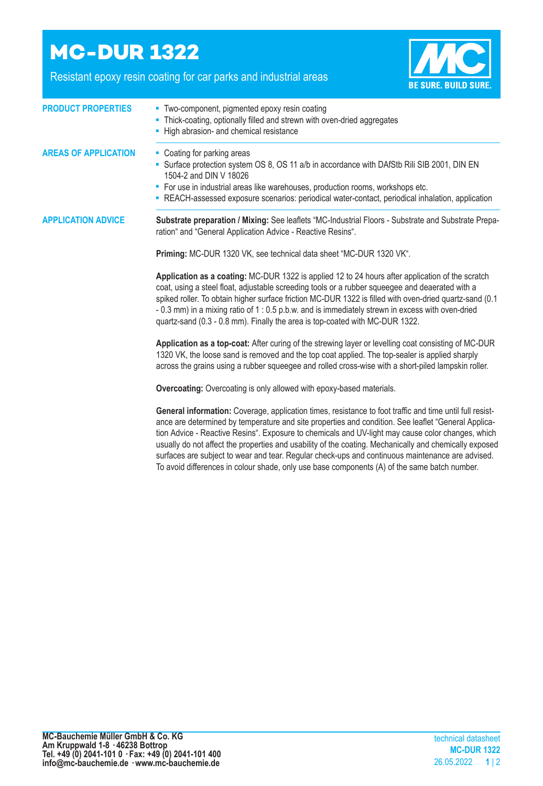## **MC-DUR 1322**

Resistant epoxy resin coating for car parks and industrial areas



| <b>PRODUCT PROPERTIES</b>   | • Two-component, pigmented epoxy resin coating<br>- Thick-coating, optionally filled and strewn with oven-dried aggregates<br>- High abrasion- and chemical resistance                                                                                                                                                                                                                                                                                                                              |  |  |
|-----------------------------|-----------------------------------------------------------------------------------------------------------------------------------------------------------------------------------------------------------------------------------------------------------------------------------------------------------------------------------------------------------------------------------------------------------------------------------------------------------------------------------------------------|--|--|
| <b>AREAS OF APPLICATION</b> | • Coating for parking areas<br>Surface protection system OS 8, OS 11 a/b in accordance with DAfStb Rili SIB 2001, DIN EN<br>1504-2 and DIN V 18026<br>• For use in industrial areas like warehouses, production rooms, workshops etc.<br>- REACH-assessed exposure scenarios: periodical water-contact, periodical inhalation, application                                                                                                                                                          |  |  |
| <b>APPLICATION ADVICE</b>   | Substrate preparation / Mixing: See leaflets "MC-Industrial Floors - Substrate and Substrate Prepa-<br>ration" and "General Application Advice - Reactive Resins".                                                                                                                                                                                                                                                                                                                                  |  |  |
|                             | Priming: MC-DUR 1320 VK, see technical data sheet "MC-DUR 1320 VK".                                                                                                                                                                                                                                                                                                                                                                                                                                 |  |  |
|                             | Application as a coating: MC-DUR 1322 is applied 12 to 24 hours after application of the scratch<br>coat, using a steel float, adjustable screeding tools or a rubber squeegee and deaerated with a<br>spiked roller. To obtain higher surface friction MC-DUR 1322 is filled with oven-dried quartz-sand (0.1<br>- 0.3 mm) in a mixing ratio of 1 : 0.5 p.b.w. and is immediately strewn in excess with oven-dried<br>quartz-sand (0.3 - 0.8 mm). Finally the area is top-coated with MC-DUR 1322. |  |  |
|                             | Application as a top-coat: After curing of the strewing layer or levelling coat consisting of MC-DUR<br>1320 VK, the loose sand is removed and the top coat applied. The top-sealer is applied sharply<br>across the grains using a rubber squeegee and rolled cross-wise with a short-piled lampskin roller.                                                                                                                                                                                       |  |  |
|                             | <b>Overcoating:</b> Overcoating is only allowed with epoxy-based materials.                                                                                                                                                                                                                                                                                                                                                                                                                         |  |  |
|                             | General information: Coverage, application times, resistance to foot traffic and time until full resist-<br>ance are determined by temperature and site properties and condition. See leaflet "General Applica-<br>tion Advice - Reactive Resins". Exposure to chemicals and UV-light may cause color changes, which<br>usually do not affect the properties and usability of the coating. Mechanically and chemically exposed                                                                      |  |  |

surfaces are subject to wear and tear. Regular check-ups and continuous maintenance are advised. To avoid differences in colour shade, only use base components (A) of the same batch number.